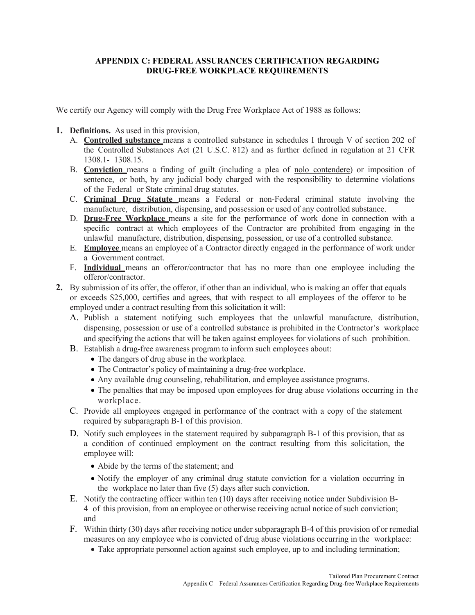## **APPENDIX C: FEDERAL ASSURANCES CERTIFICATION REGARDING DRUG-FREE WORKPLACE REQUIREMENTS**

We certify our Agency will comply with the Drug Free Workplace Act of 1988 as follows:

- **1. Definitions.** As used in this provision,
	- A. **Controlled substance** means a controlled substance in schedules I through V of section 202 of the Controlled Substances Act (21 U.S.C. 812) and as further defined in regulation at 21 CFR 1308.1- 1308.15.
	- B. **Conviction** means a finding of guilt (including a plea of nolo contendere) or imposition of sentence, or both, by any judicial body charged with the responsibility to determine violations of the Federal or State criminal drug statutes.
	- C. **Criminal Drug Statute** means a Federal or non-Federal criminal statute involving the manufacture, distribution, dispensing, and possession or used of any controlled substance.
	- D. **Drug-Free Workplace** means a site for the performance of work done in connection with a specific contract at which employees of the Contractor are prohibited from engaging in the unlawful manufacture, distribution, dispensing, possession, or use of a controlled substance.
	- E. **Employee** means an employee of a Contractor directly engaged in the performance of work under a Government contract.
	- F. **Individual** means an offeror/contractor that has no more than one employee including the offeror/contractor.
- **2.** By submission of its offer, the offeror, if other than an individual, who is making an offer that equals or exceeds \$25,000, certifies and agrees, that with respect to all employees of the offeror to be employed under a contract resulting from this solicitation it will:
	- A. Publish a statement notifying such employees that the unlawful manufacture, distribution, dispensing, possession or use of a controlled substance is prohibited in the Contractor's workplace and specifying the actions that will be taken against employees for violations of such prohibition.
	- B. Establish a drug-free awareness program to inform such employees about:
		- The dangers of drug abuse in the workplace.
		- The Contractor's policy of maintaining a drug-free workplace.
		- Any available drug counseling, rehabilitation, and employee assistance programs.
		- The penalties that may be imposed upon employees for drug abuse violations occurring in the workplace.
	- C. Provide all employees engaged in performance of the contract with a copy of the statement required by subparagraph B-1 of this provision.
	- D. Notify such employees in the statement required by subparagraph B-1 of this provision, that as a condition of continued employment on the contract resulting from this solicitation, the employee will:
		- Abide by the terms of the statement; and
		- Notify the employer of any criminal drug statute conviction for a violation occurring in the workplace no later than five (5) days after such conviction.
	- E. Notify the contracting officer within ten (10) days after receiving notice under Subdivision B-4 of this provision, from an employee or otherwise receiving actual notice of such conviction; and
	- F. Within thirty (30) days after receiving notice under subparagraph B-4 of this provision of or remedial measures on any employee who is convicted of drug abuse violations occurring in the workplace:
		- Take appropriate personnel action against such employee, up to and including termination;